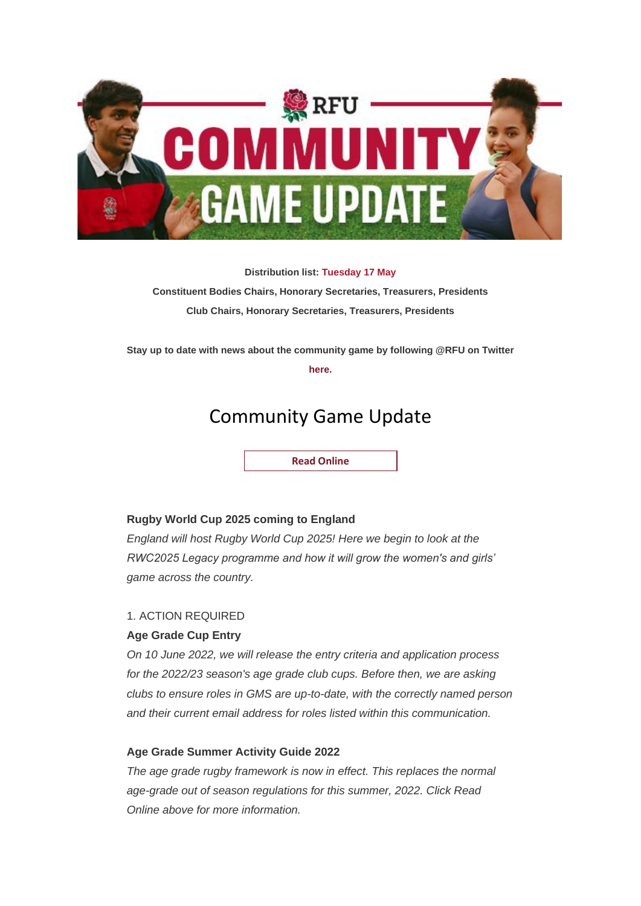

**Distribution list: Tuesday 17 May Constituent Bodies Chairs, Honorary Secretaries, Treasurers, Presidents Club Chairs, Honorary Secretaries, Treasurers, Presidents**

**Stay up to date with news about the community game by following @RFU on Twitter** 

**[here.](http://links.emails.rfumail.com/els/v2/m33RfRyrLkBV/RnNqL3F6RSsrcFFxZ0t6Mnh2cTRDaDJxYUk1bUhIWG9xUmhoVTNBQ0wvalljU1h6eUFjMXQ1bjkrZm5NZmRkZ3VqRXdOaEdZaENxS1l0SStsWVk4UDdwaXRabk5hSnV5UXVHTGg5SVpUSGM9S0/)**

# Community Game Update

**[Read Online](http://links.emails.rfumail.com/els/v2/q443F0vqEzTK/RnNqL3F6RSsrcFFxZ0t6Mnh2cTRDaDJxYUk1bUhIWG9xUmhoVTNBQ0wvalljU1h6eUFjMXQ1bjkrZm5NZmRkZ3VqRXdOaEdZaENxS1l0SStsWVk4UDdwaXRabk5hSnV5UXVHTGg5SVpUSGM9S0/)** 

## **Rugby World Cup 2025 coming to England**

*England will host Rugby World Cup 2025! Here we begin to look at the RWC2025 Legacy programme and how it will grow the women's and girls' game across the country.*

## 1. ACTION REQUIRED

## **Age Grade Cup Entry**

*On 10 June 2022, we will release the entry criteria and application process for the 2022/23 season's age grade club cups. Before then, we are asking clubs to ensure roles in GMS are up-to-date, with the correctly named person and their current email address for roles listed within this communication.*

## **Age Grade Summer Activity Guide 2022**

*The age grade rugby framework is now in effect. This replaces the normal age-grade out of season regulations for this summer, 2022. Click Read Online above for more information.*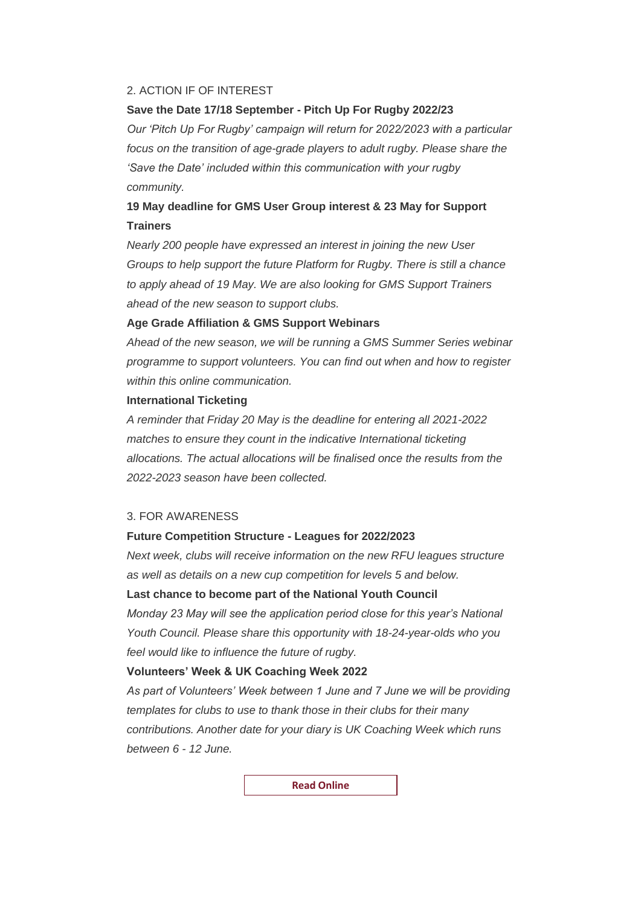### 2. ACTION IF OF INTEREST

### **Save the Date 17/18 September - Pitch Up For Rugby 2022/23**

*Our 'Pitch Up For Rugby' campaign will return for 2022/2023 with a particular focus on the transition of age-grade players to adult rugby. Please share the 'Save the Date' included within this communication with your rugby community.*

# **19 May deadline for GMS User Group interest & 23 May for Support Trainers**

*Nearly 200 people have expressed an interest in joining the new User Groups to help support the future Platform for Rugby. There is still a chance to apply ahead of 19 May. We are also looking for GMS Support Trainers ahead of the new season to support clubs.*

# **Age Grade Affiliation & GMS Support Webinars**

*Ahead of the new season, we will be running a GMS Summer Series webinar programme to support volunteers. You can find out when and how to register within this online communication.*

## **International Ticketing**

*A reminder that Friday 20 May is the deadline for entering all 2021-2022 matches to ensure they count in the indicative International ticketing allocations. The actual allocations will be finalised once the results from the 2022-2023 season have been collected.*

### 3. FOR AWARENESS

### **Future Competition Structure - Leagues for 2022/2023**

*Next week, clubs will receive information on the new RFU leagues structure as well as details on a new cup competition for levels 5 and below.*

# **Last chance to become part of the National Youth Council**

*Monday 23 May will see the application period close for this year's National Youth Council. Please share this opportunity with 18-24-year-olds who you feel would like to influence the future of rugby.*

#### **Volunteers' Week & UK Coaching Week 2022**

*As part of Volunteers' Week between 1 June and 7 June we will be providing templates for clubs to use to thank those in their clubs for their many contributions. Another date for your diary is UK Coaching Week which runs between 6 - 12 June.*